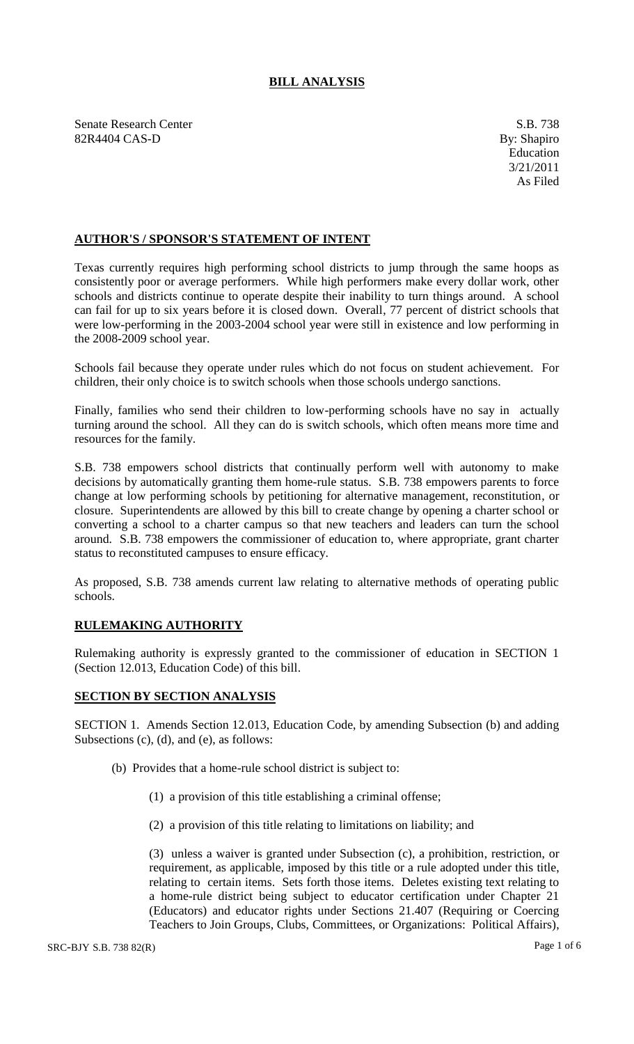## **BILL ANALYSIS**

Senate Research Center S.B. 738 82R4404 CAS-D By: Shapiro

## **AUTHOR'S / SPONSOR'S STATEMENT OF INTENT**

Texas currently requires high performing school districts to jump through the same hoops as consistently poor or average performers. While high performers make every dollar work, other schools and districts continue to operate despite their inability to turn things around. A school can fail for up to six years before it is closed down. Overall, 77 percent of district schools that were low-performing in the 2003-2004 school year were still in existence and low performing in the 2008-2009 school year.

Schools fail because they operate under rules which do not focus on student achievement. For children, their only choice is to switch schools when those schools undergo sanctions.

Finally, families who send their children to low-performing schools have no say in actually turning around the school. All they can do is switch schools, which often means more time and resources for the family.

S.B. 738 empowers school districts that continually perform well with autonomy to make decisions by automatically granting them home-rule status. S.B. 738 empowers parents to force change at low performing schools by petitioning for alternative management, reconstitution, or closure. Superintendents are allowed by this bill to create change by opening a charter school or converting a school to a charter campus so that new teachers and leaders can turn the school around. S.B. 738 empowers the commissioner of education to, where appropriate, grant charter status to reconstituted campuses to ensure efficacy.

As proposed, S.B. 738 amends current law relating to alternative methods of operating public schools.

## **RULEMAKING AUTHORITY**

Rulemaking authority is expressly granted to the commissioner of education in SECTION 1 (Section 12.013, Education Code) of this bill.

## **SECTION BY SECTION ANALYSIS**

SECTION 1. Amends Section 12.013, Education Code, by amending Subsection (b) and adding Subsections (c), (d), and (e), as follows:

- (b) Provides that a home-rule school district is subject to:
	- (1) a provision of this title establishing a criminal offense;
	- (2) a provision of this title relating to limitations on liability; and

(3) unless a waiver is granted under Subsection (c), a prohibition, restriction, or requirement, as applicable, imposed by this title or a rule adopted under this title, relating to certain items. Sets forth those items. Deletes existing text relating to a home-rule district being subject to educator certification under Chapter 21 (Educators) and educator rights under Sections 21.407 (Requiring or Coercing Teachers to Join Groups, Clubs, Committees, or Organizations: Political Affairs),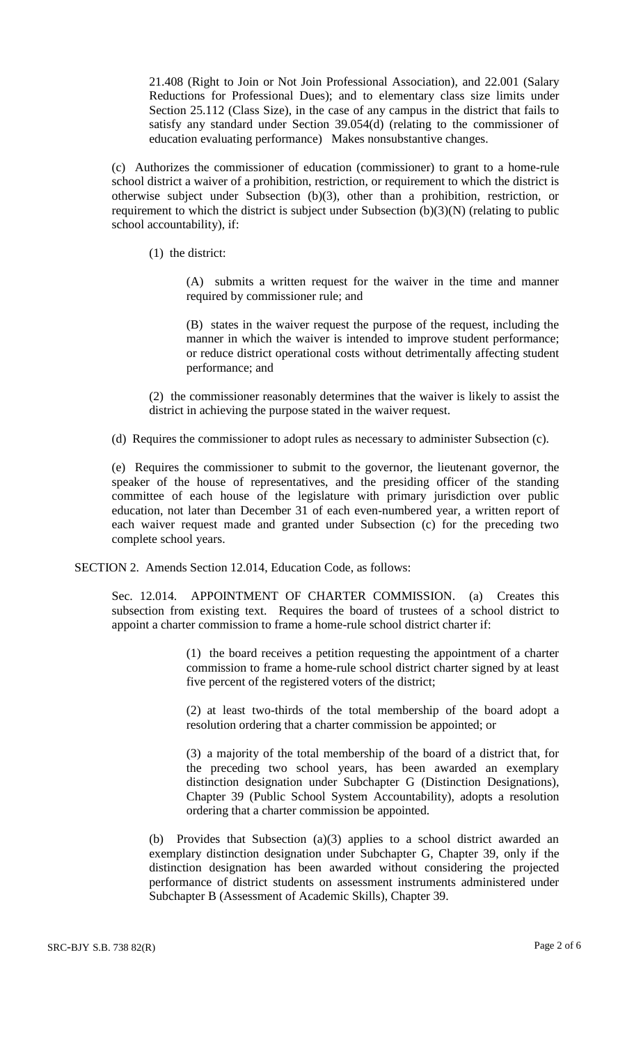21.408 (Right to Join or Not Join Professional Association), and 22.001 (Salary Reductions for Professional Dues); and to elementary class size limits under Section 25.112 (Class Size), in the case of any campus in the district that fails to satisfy any standard under Section 39.054(d) (relating to the commissioner of education evaluating performance) Makes nonsubstantive changes.

(c) Authorizes the commissioner of education (commissioner) to grant to a home-rule school district a waiver of a prohibition, restriction, or requirement to which the district is otherwise subject under Subsection (b)(3), other than a prohibition, restriction, or requirement to which the district is subject under Subsection (b)(3)(N) (relating to public school accountability), if:

(1) the district:

(A) submits a written request for the waiver in the time and manner required by commissioner rule; and

(B) states in the waiver request the purpose of the request, including the manner in which the waiver is intended to improve student performance; or reduce district operational costs without detrimentally affecting student performance; and

(2) the commissioner reasonably determines that the waiver is likely to assist the district in achieving the purpose stated in the waiver request.

(d) Requires the commissioner to adopt rules as necessary to administer Subsection (c).

(e) Requires the commissioner to submit to the governor, the lieutenant governor, the speaker of the house of representatives, and the presiding officer of the standing committee of each house of the legislature with primary jurisdiction over public education, not later than December 31 of each even-numbered year, a written report of each waiver request made and granted under Subsection (c) for the preceding two complete school years.

SECTION 2. Amends Section 12.014, Education Code, as follows:

Sec. 12.014. APPOINTMENT OF CHARTER COMMISSION. (a) Creates this subsection from existing text. Requires the board of trustees of a school district to appoint a charter commission to frame a home-rule school district charter if:

> (1) the board receives a petition requesting the appointment of a charter commission to frame a home-rule school district charter signed by at least five percent of the registered voters of the district;

> (2) at least two-thirds of the total membership of the board adopt a resolution ordering that a charter commission be appointed; or

> (3) a majority of the total membership of the board of a district that, for the preceding two school years, has been awarded an exemplary distinction designation under Subchapter G (Distinction Designations), Chapter 39 (Public School System Accountability), adopts a resolution ordering that a charter commission be appointed.

(b) Provides that Subsection (a)(3) applies to a school district awarded an exemplary distinction designation under Subchapter G, Chapter 39, only if the distinction designation has been awarded without considering the projected performance of district students on assessment instruments administered under Subchapter B (Assessment of Academic Skills), Chapter 39.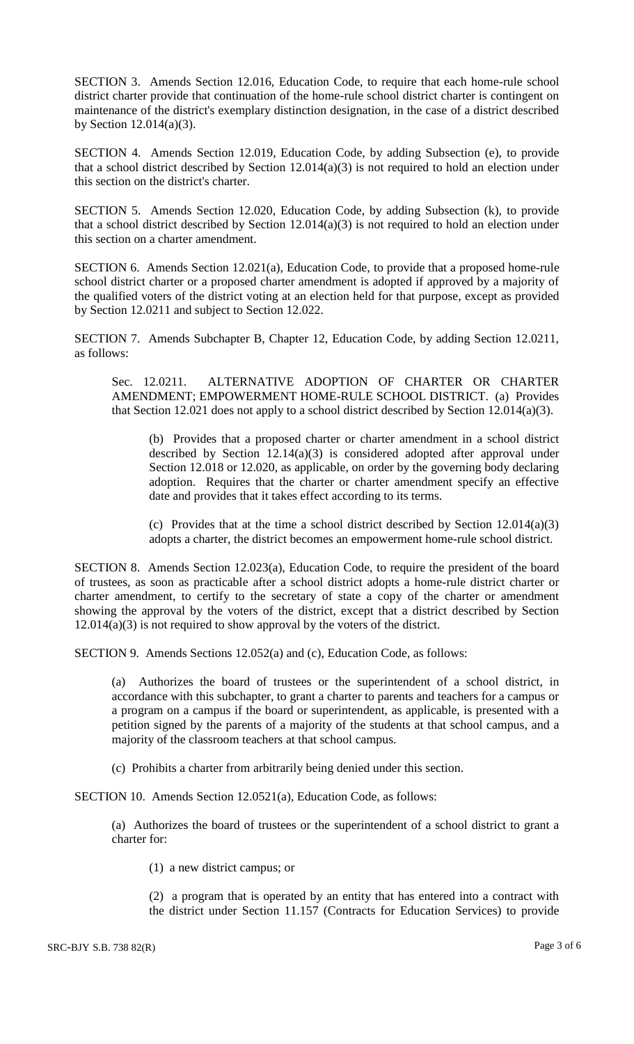SECTION 3. Amends Section 12.016, Education Code, to require that each home-rule school district charter provide that continuation of the home-rule school district charter is contingent on maintenance of the district's exemplary distinction designation, in the case of a district described by Section  $12.014(a)(3)$ .

SECTION 4. Amends Section 12.019, Education Code, by adding Subsection (e), to provide that a school district described by Section 12.014(a)(3) is not required to hold an election under this section on the district's charter.

SECTION 5. Amends Section 12.020, Education Code, by adding Subsection (k), to provide that a school district described by Section 12.014(a)(3) is not required to hold an election under this section on a charter amendment.

SECTION 6. Amends Section 12.021(a), Education Code, to provide that a proposed home-rule school district charter or a proposed charter amendment is adopted if approved by a majority of the qualified voters of the district voting at an election held for that purpose, except as provided by Section 12.0211 and subject to Section 12.022.

SECTION 7. Amends Subchapter B, Chapter 12, Education Code, by adding Section 12.0211, as follows:

Sec. 12.0211. ALTERNATIVE ADOPTION OF CHARTER OR CHARTER AMENDMENT; EMPOWERMENT HOME-RULE SCHOOL DISTRICT. (a) Provides that Section 12.021 does not apply to a school district described by Section 12.014(a)(3).

(b) Provides that a proposed charter or charter amendment in a school district described by Section  $12.14(a)(3)$  is considered adopted after approval under Section 12.018 or 12.020, as applicable, on order by the governing body declaring adoption. Requires that the charter or charter amendment specify an effective date and provides that it takes effect according to its terms.

(c) Provides that at the time a school district described by Section 12.014(a)(3) adopts a charter, the district becomes an empowerment home-rule school district.

SECTION 8. Amends Section 12.023(a), Education Code, to require the president of the board of trustees, as soon as practicable after a school district adopts a home-rule district charter or charter amendment, to certify to the secretary of state a copy of the charter or amendment showing the approval by the voters of the district, except that a district described by Section 12.014(a)(3) is not required to show approval by the voters of the district.

SECTION 9. Amends Sections 12.052(a) and (c), Education Code, as follows:

(a) Authorizes the board of trustees or the superintendent of a school district, in accordance with this subchapter, to grant a charter to parents and teachers for a campus or a program on a campus if the board or superintendent, as applicable, is presented with a petition signed by the parents of a majority of the students at that school campus, and a majority of the classroom teachers at that school campus.

(c) Prohibits a charter from arbitrarily being denied under this section.

SECTION 10. Amends Section 12.0521(a), Education Code, as follows:

(a) Authorizes the board of trustees or the superintendent of a school district to grant a charter for:

(1) a new district campus; or

(2) a program that is operated by an entity that has entered into a contract with the district under Section 11.157 (Contracts for Education Services) to provide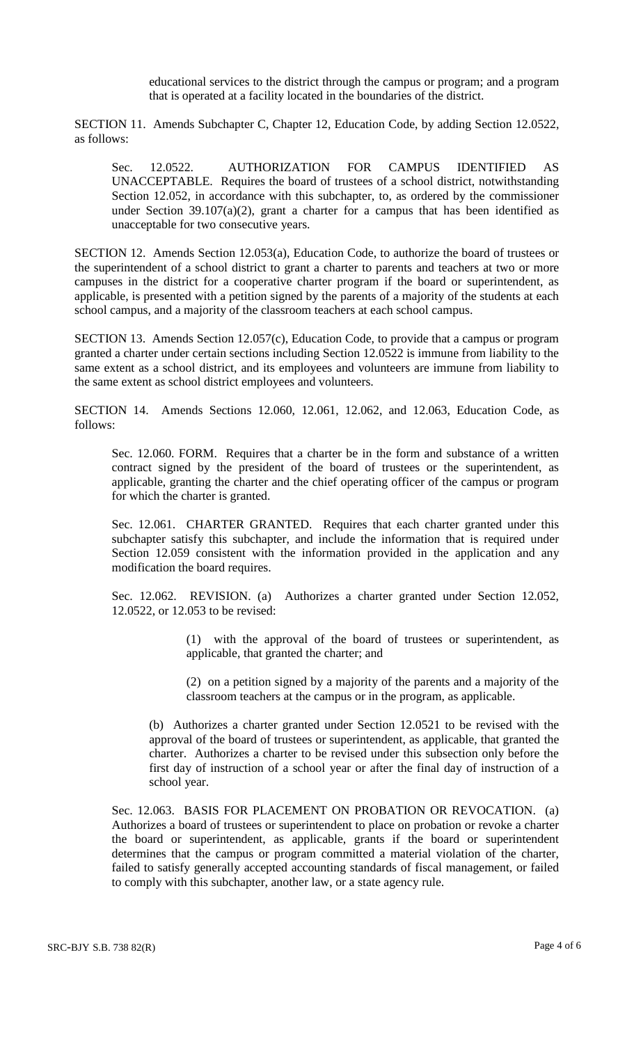educational services to the district through the campus or program; and a program that is operated at a facility located in the boundaries of the district.

SECTION 11. Amends Subchapter C, Chapter 12, Education Code, by adding Section 12.0522, as follows:

Sec. 12.0522. AUTHORIZATION FOR CAMPUS IDENTIFIED AS UNACCEPTABLE. Requires the board of trustees of a school district, notwithstanding Section 12.052, in accordance with this subchapter, to, as ordered by the commissioner under Section  $39.107(a)(2)$ , grant a charter for a campus that has been identified as unacceptable for two consecutive years.

SECTION 12. Amends Section 12.053(a), Education Code, to authorize the board of trustees or the superintendent of a school district to grant a charter to parents and teachers at two or more campuses in the district for a cooperative charter program if the board or superintendent, as applicable, is presented with a petition signed by the parents of a majority of the students at each school campus, and a majority of the classroom teachers at each school campus.

SECTION 13. Amends Section 12.057(c), Education Code, to provide that a campus or program granted a charter under certain sections including Section 12.0522 is immune from liability to the same extent as a school district, and its employees and volunteers are immune from liability to the same extent as school district employees and volunteers.

SECTION 14. Amends Sections 12.060, 12.061, 12.062, and 12.063, Education Code, as follows:

Sec. 12.060. FORM. Requires that a charter be in the form and substance of a written contract signed by the president of the board of trustees or the superintendent, as applicable, granting the charter and the chief operating officer of the campus or program for which the charter is granted.

Sec. 12.061. CHARTER GRANTED. Requires that each charter granted under this subchapter satisfy this subchapter, and include the information that is required under Section 12.059 consistent with the information provided in the application and any modification the board requires.

Sec. 12.062. REVISION. (a) Authorizes a charter granted under Section 12.052, 12.0522, or 12.053 to be revised:

> (1) with the approval of the board of trustees or superintendent, as applicable, that granted the charter; and

> (2) on a petition signed by a majority of the parents and a majority of the classroom teachers at the campus or in the program, as applicable.

(b) Authorizes a charter granted under Section 12.0521 to be revised with the approval of the board of trustees or superintendent, as applicable, that granted the charter. Authorizes a charter to be revised under this subsection only before the first day of instruction of a school year or after the final day of instruction of a school year.

Sec. 12.063. BASIS FOR PLACEMENT ON PROBATION OR REVOCATION. (a) Authorizes a board of trustees or superintendent to place on probation or revoke a charter the board or superintendent, as applicable, grants if the board or superintendent determines that the campus or program committed a material violation of the charter, failed to satisfy generally accepted accounting standards of fiscal management, or failed to comply with this subchapter, another law, or a state agency rule.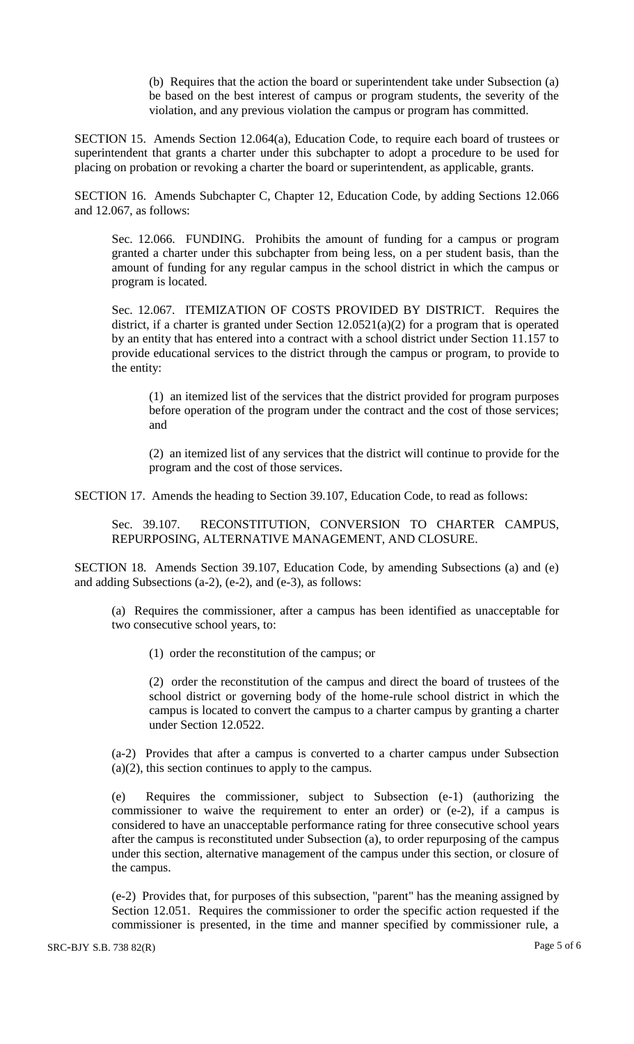(b) Requires that the action the board or superintendent take under Subsection (a) be based on the best interest of campus or program students, the severity of the violation, and any previous violation the campus or program has committed.

SECTION 15. Amends Section 12.064(a), Education Code, to require each board of trustees or superintendent that grants a charter under this subchapter to adopt a procedure to be used for placing on probation or revoking a charter the board or superintendent, as applicable, grants.

SECTION 16. Amends Subchapter C, Chapter 12, Education Code, by adding Sections 12.066 and 12.067, as follows:

Sec. 12.066. FUNDING. Prohibits the amount of funding for a campus or program granted a charter under this subchapter from being less, on a per student basis, than the amount of funding for any regular campus in the school district in which the campus or program is located.

Sec. 12.067. ITEMIZATION OF COSTS PROVIDED BY DISTRICT. Requires the district, if a charter is granted under Section  $12.0521(a)(2)$  for a program that is operated by an entity that has entered into a contract with a school district under Section 11.157 to provide educational services to the district through the campus or program, to provide to the entity:

(1) an itemized list of the services that the district provided for program purposes before operation of the program under the contract and the cost of those services; and

(2) an itemized list of any services that the district will continue to provide for the program and the cost of those services.

SECTION 17. Amends the heading to Section 39.107, Education Code, to read as follows:

Sec. 39.107. RECONSTITUTION, CONVERSION TO CHARTER CAMPUS, REPURPOSING, ALTERNATIVE MANAGEMENT, AND CLOSURE.

SECTION 18. Amends Section 39.107, Education Code, by amending Subsections (a) and (e) and adding Subsections (a-2), (e-2), and (e-3), as follows:

(a) Requires the commissioner, after a campus has been identified as unacceptable for two consecutive school years, to:

(1) order the reconstitution of the campus; or

(2) order the reconstitution of the campus and direct the board of trustees of the school district or governing body of the home-rule school district in which the campus is located to convert the campus to a charter campus by granting a charter under Section 12.0522.

(a-2) Provides that after a campus is converted to a charter campus under Subsection (a)(2), this section continues to apply to the campus.

(e) Requires the commissioner, subject to Subsection (e-1) (authorizing the commissioner to waive the requirement to enter an order) or (e-2), if a campus is considered to have an unacceptable performance rating for three consecutive school years after the campus is reconstituted under Subsection (a), to order repurposing of the campus under this section, alternative management of the campus under this section, or closure of the campus.

(e-2) Provides that, for purposes of this subsection, "parent" has the meaning assigned by Section 12.051. Requires the commissioner to order the specific action requested if the commissioner is presented, in the time and manner specified by commissioner rule, a